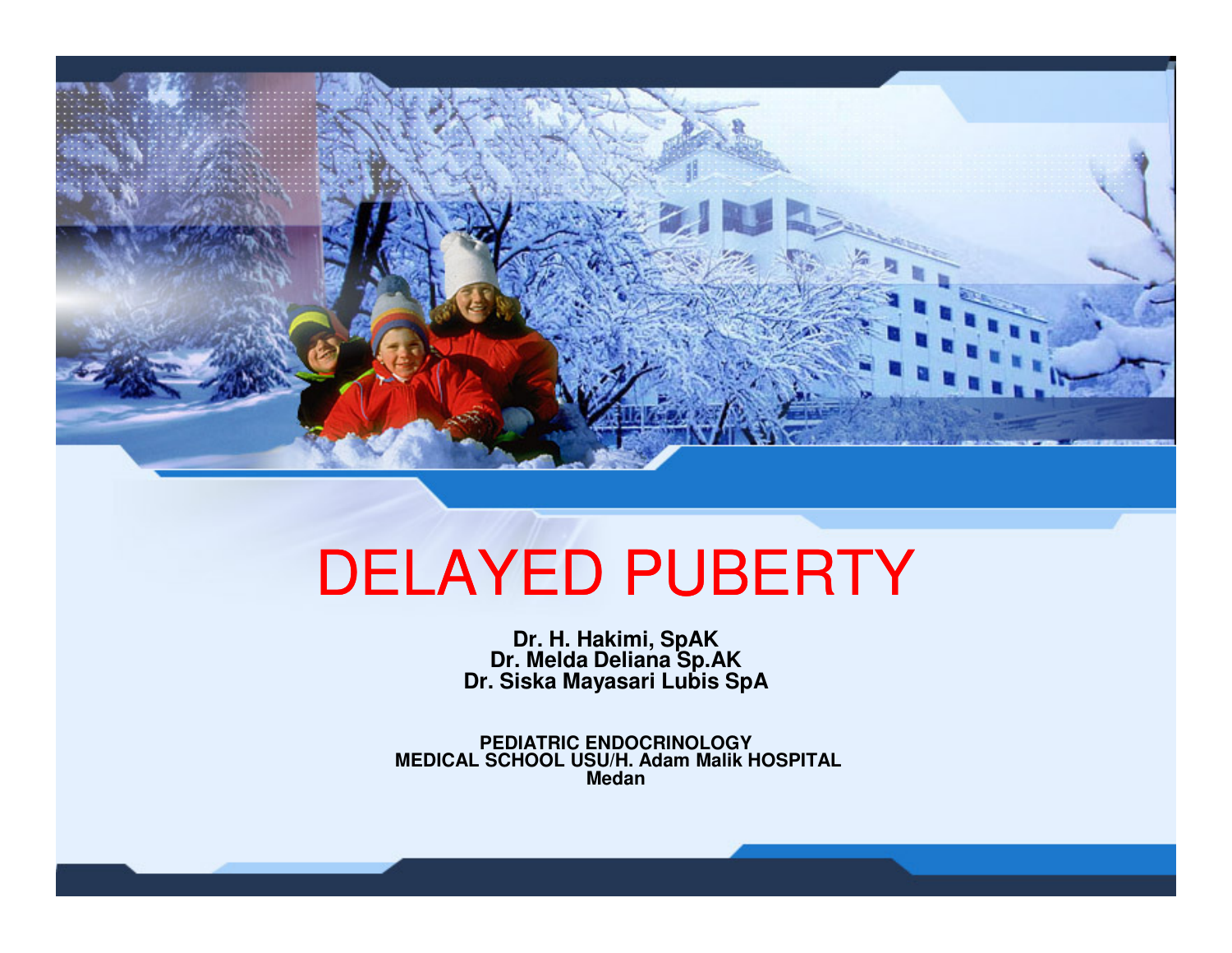

# DELAYED PUBERTY

**Dr. H. Hakimi, SpAK Dr. Melda Deliana Sp.AKDr. Siska Mayasari Lubis SpA**

**PEDIATRIC ENDOCRINOLOGY MEDICAL SCHOOL USU/H. Adam Malik HOSPITALMedan**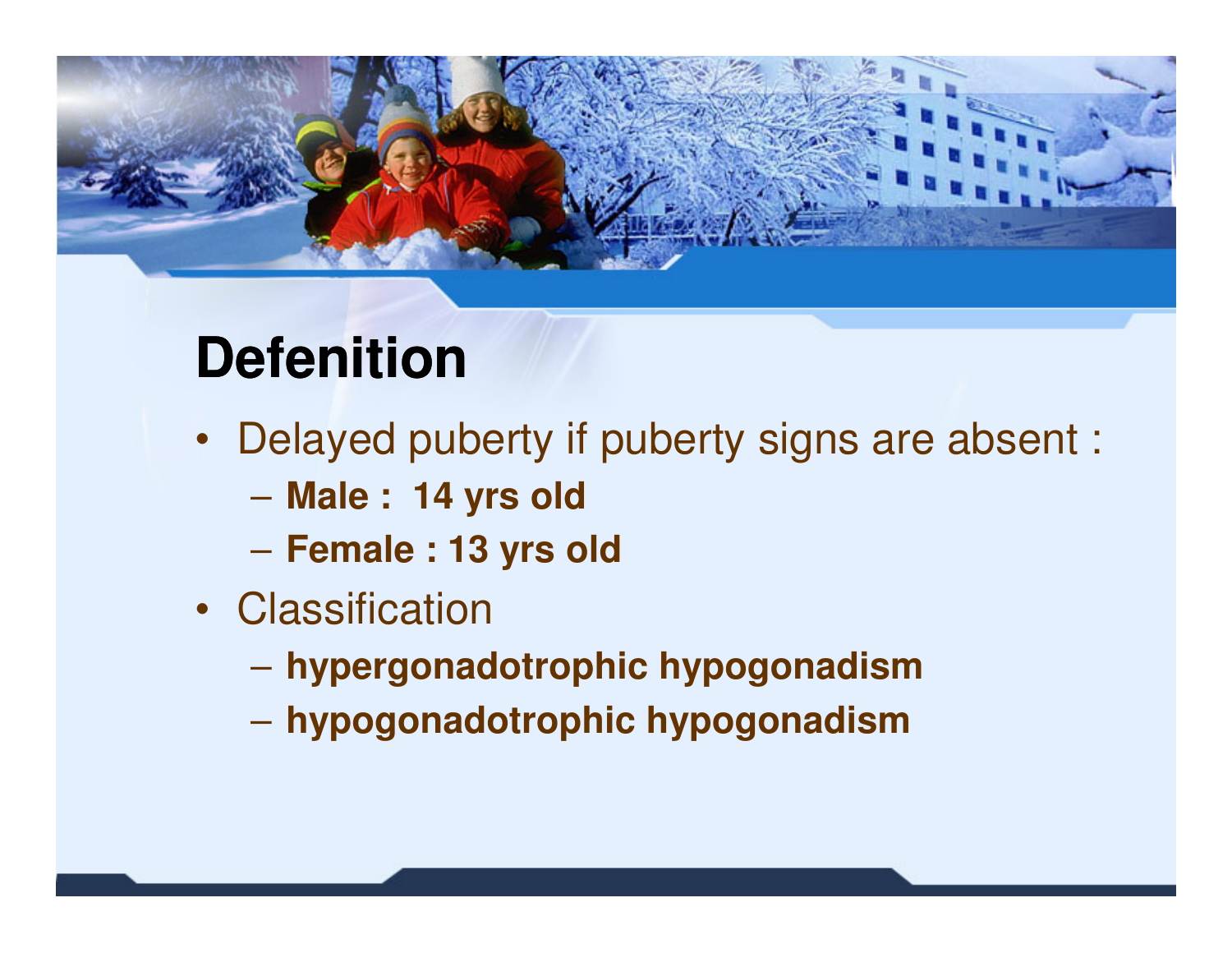

## **Defenition**

- Delayed puberty if puberty signs are absent :
	- **Male : 14 yrs old**
	- $\mathcal{L}_{\mathcal{A}}$  , and the set of  $\mathcal{L}_{\mathcal{A}}$ **Female : 13 yrs old**
- Classification
	- **hypergonadotrophic hypogonadism**
	- hynnannadatranhic hynnanadien **hypogonadotrophic hypogonadism**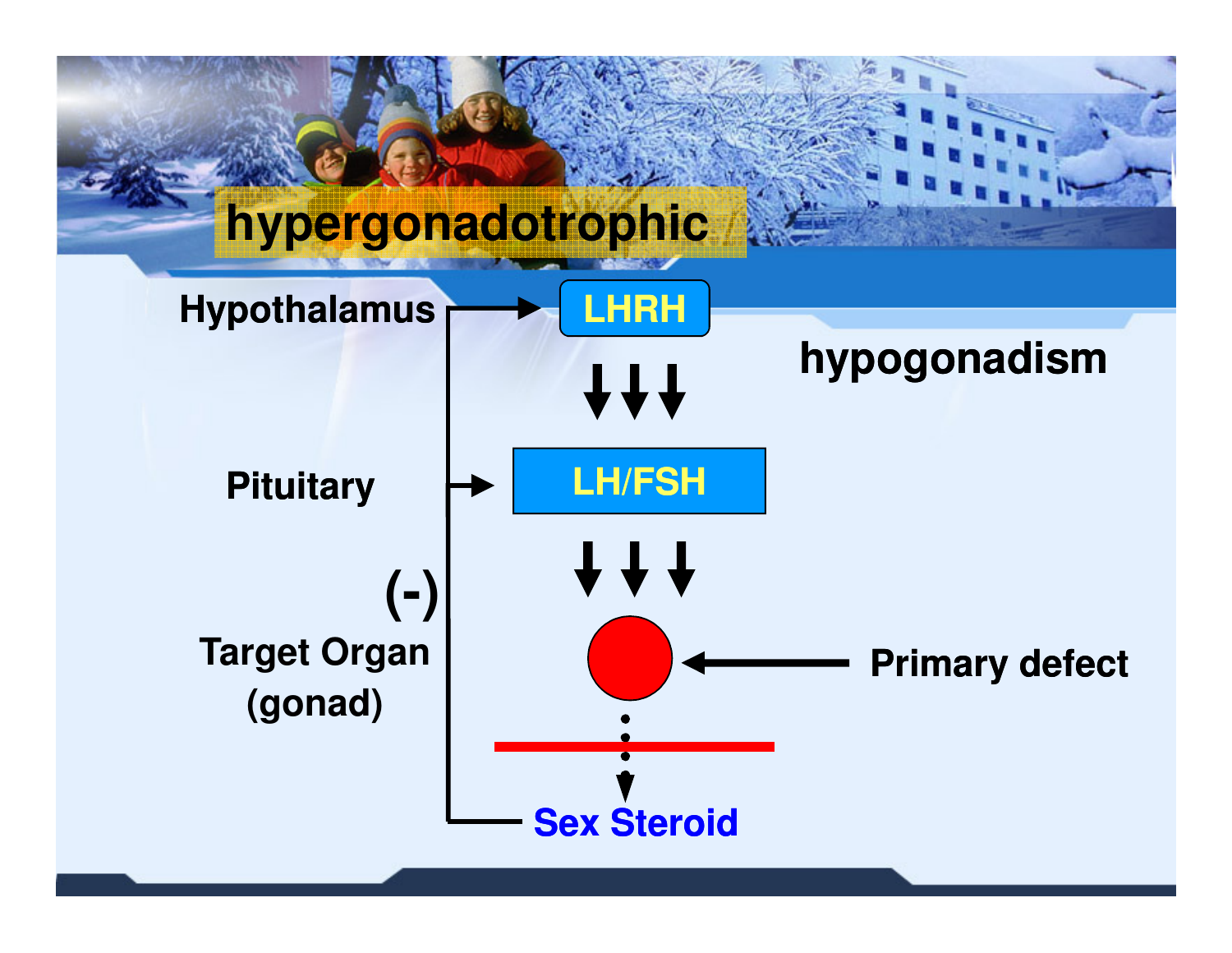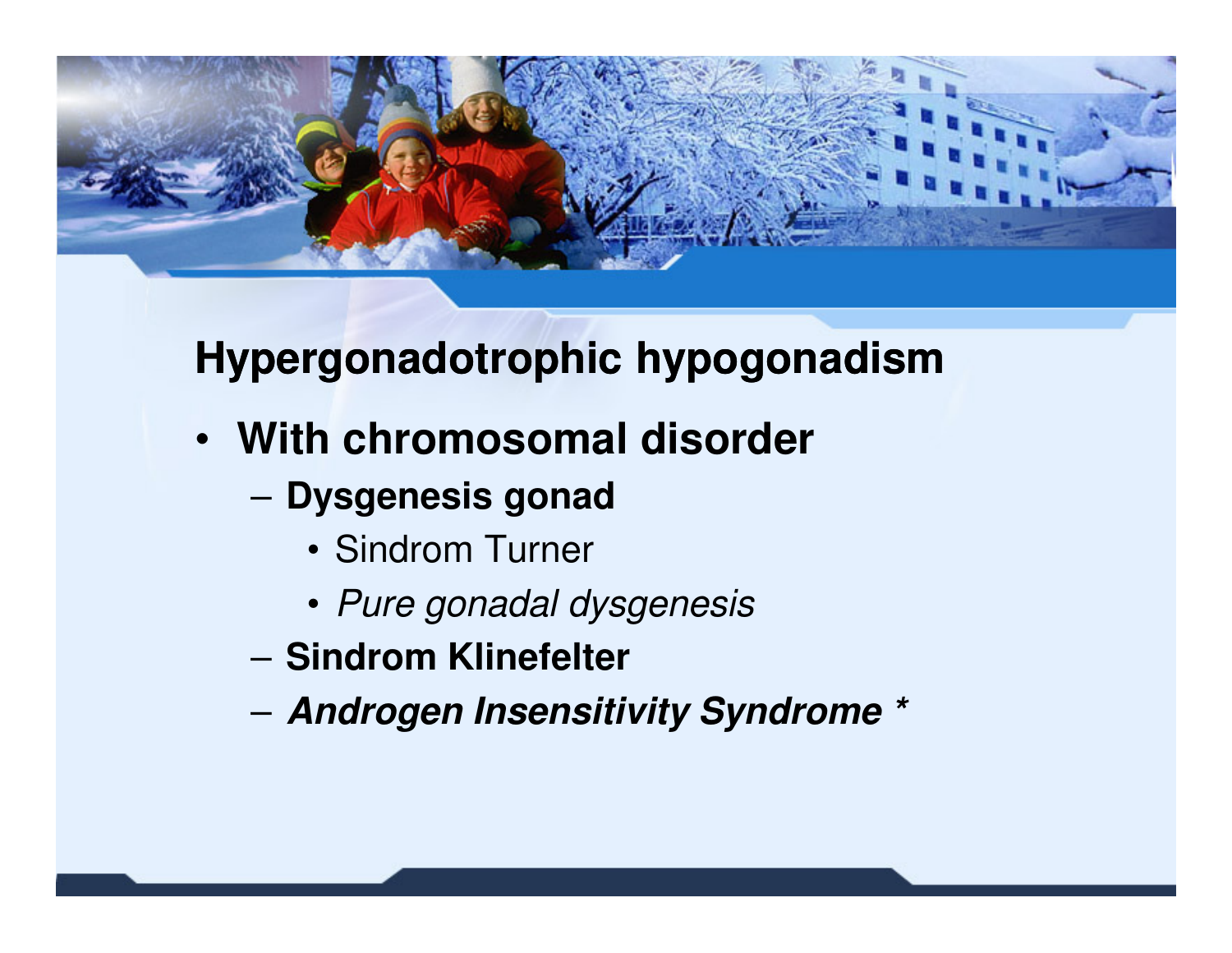

#### **Hypergonadotrophic hypogonadism**

- **With chromosomal disorder**
	- **Dysgenesis gonad**
		- Sindrom Turner
		- Pure gonadal dysgenesis
	- –**Sindrom Klinefelter**
	- –**Androgen Insensitivity Syndrome \***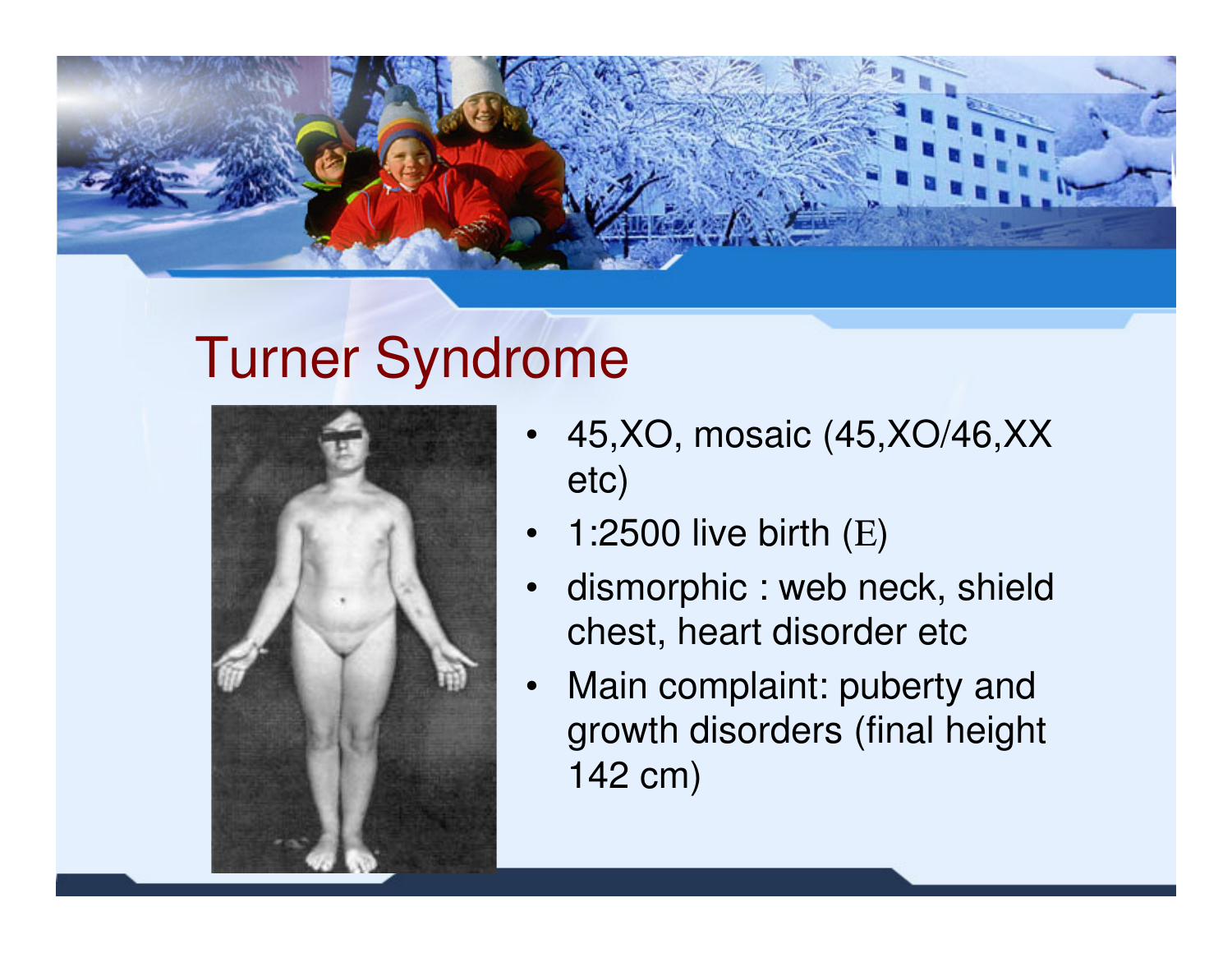

### Turner Syndrome



- • 45,XO, mosaic (45,XO/46,XX etc)
- •1:2500 live birth (Ε)
- dismorphic : web neck, shield •chest, heart disorder etc
- • Main complaint: puberty and growth disorders (final height 142 cm)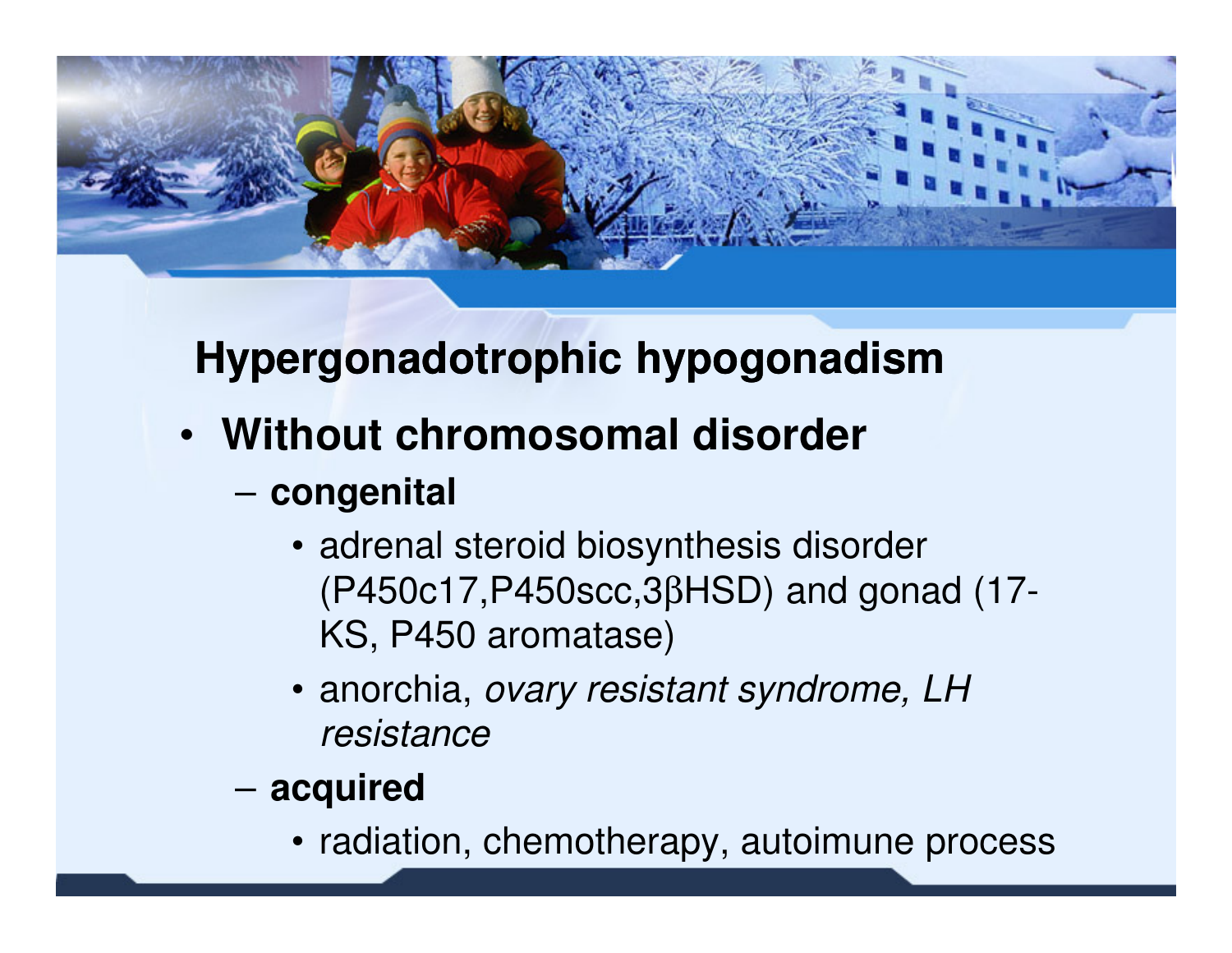

### **Hypergonadotrophic hypogonadism**

- **Without chromosomal disorder**
	- – **congenital**
		- adrenal steroid biosynthesis disorder (P450c17,P450scc,3βHSD) and gonad (17-KS, P450 aromatase)
		- anorchia, ovary resistant syndrome, LH resistance
	- – **acquired**
		- radiation, chemotherapy, autoimune process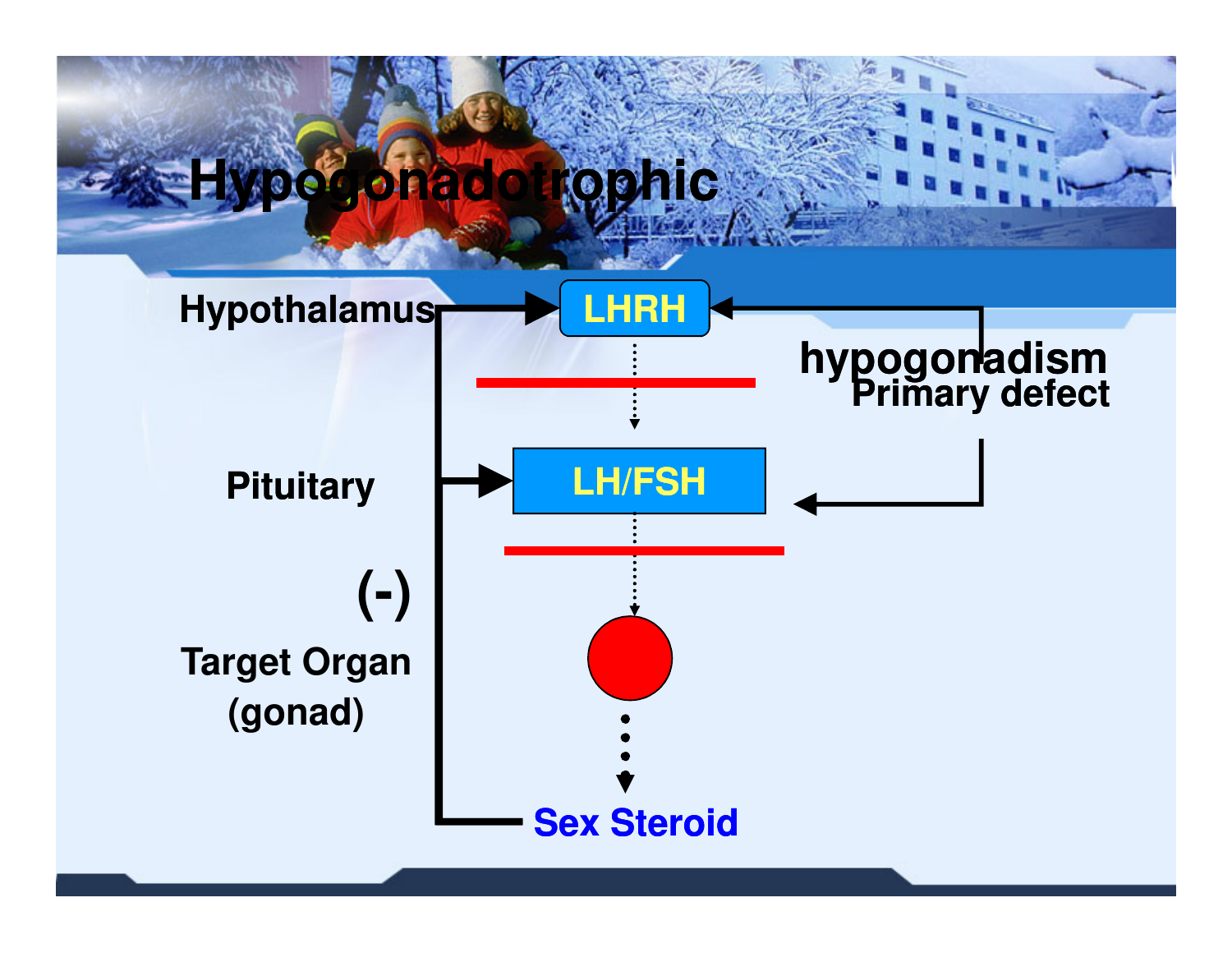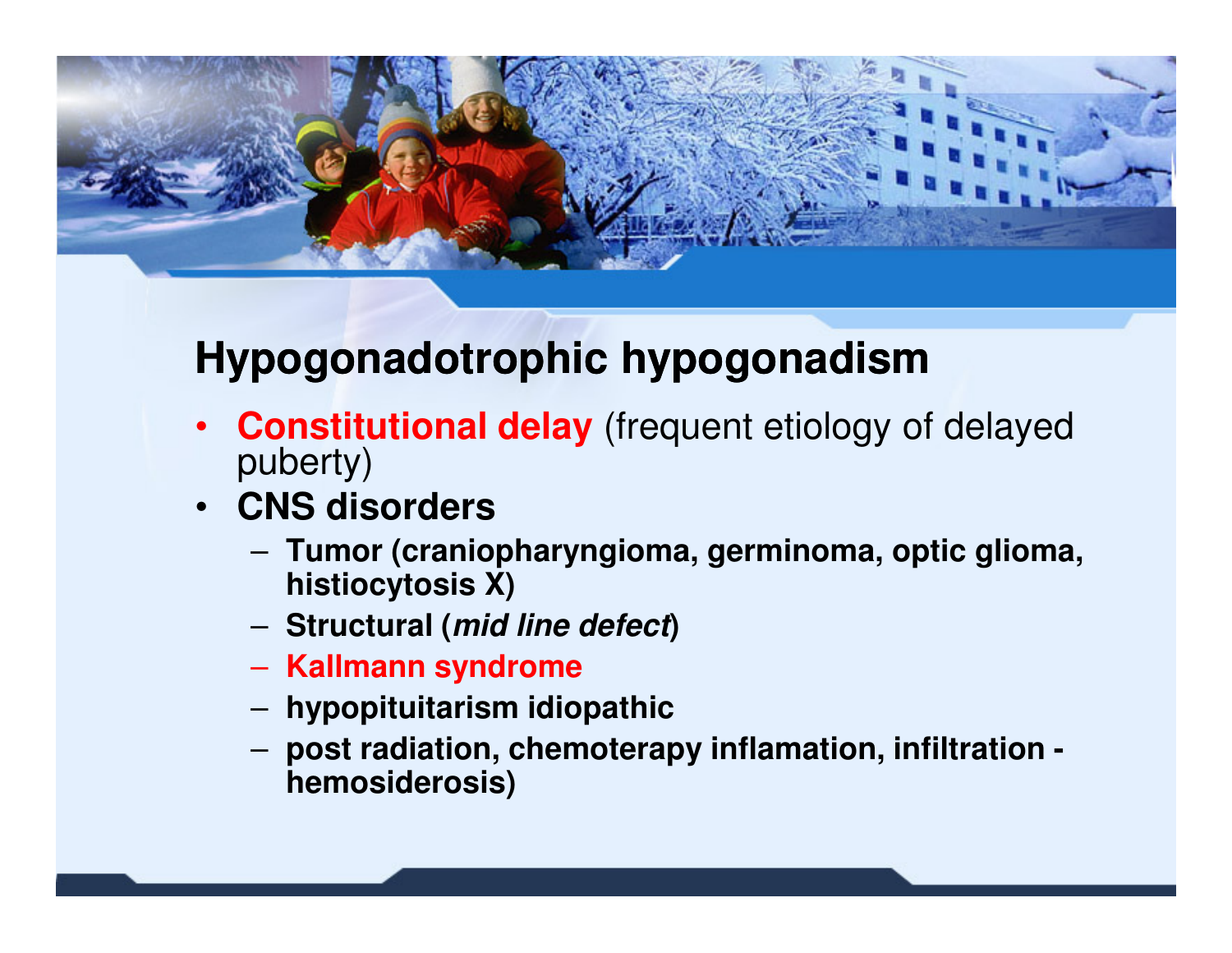

#### **Hypogonadotrophic hypogonadism**

- **Constitutional delay** (frequent etiology of delayed •puberty)
- **CNS disorders**
	- Tumor (crani **Tumor (craniopharyngioma, germinoma, optic glioma, histiocytosis X)**
	- **Structural (mid line defect)**
	- **Kallmann syndrome**
	- **hypopituitarism idiopathic**
	- **post radiation, chemoterapy inflamation, infiltration hemosiderosis)**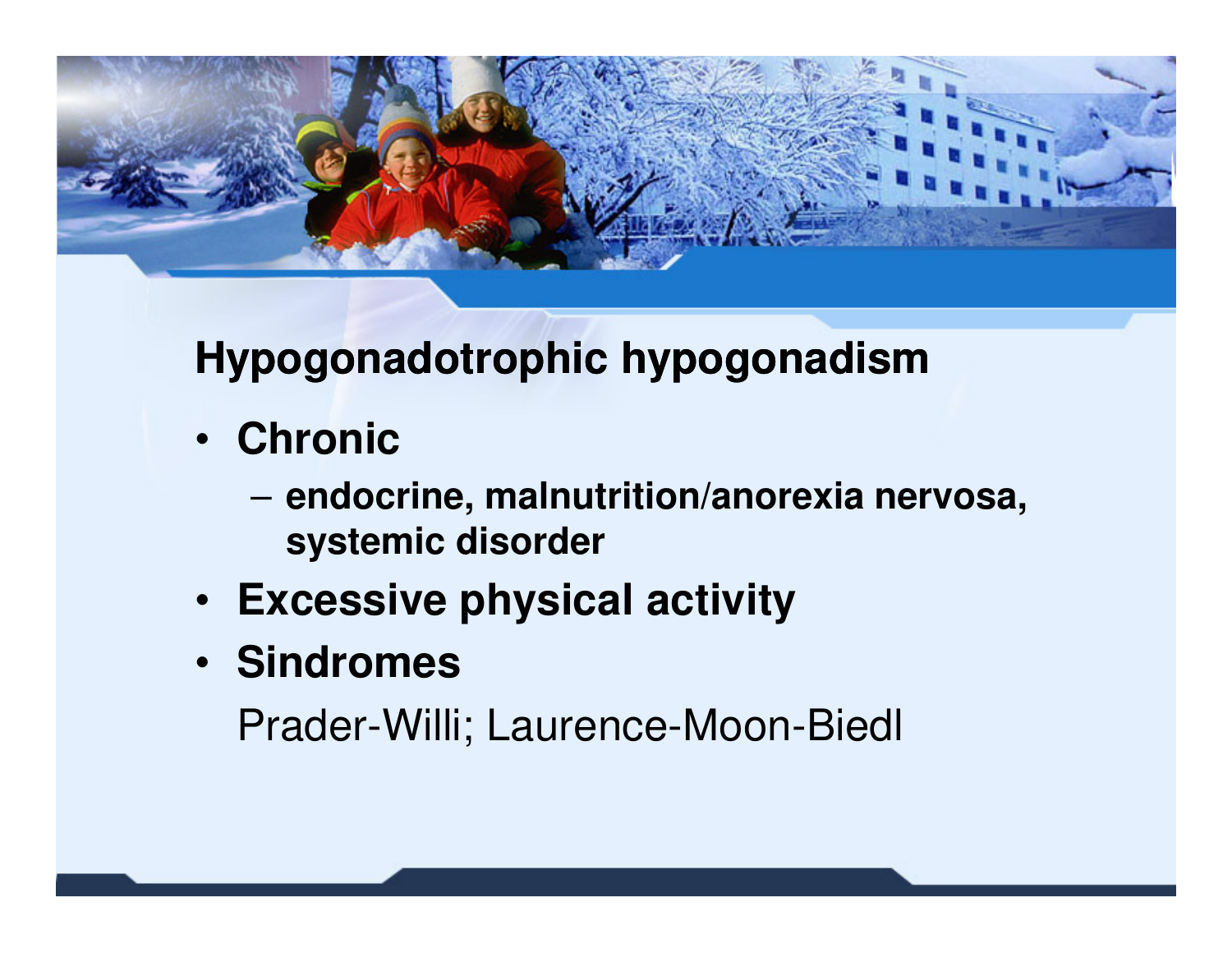

#### **Hypogonadotrophic hypogonadism**

- **Chronic**
	- **endocrine, malnutrition/anorexia nervosa, systemic disorder**
- **Excessive physical activity**
- **Sindromes**

Prader-Willi; Laurence-Moon-Biedl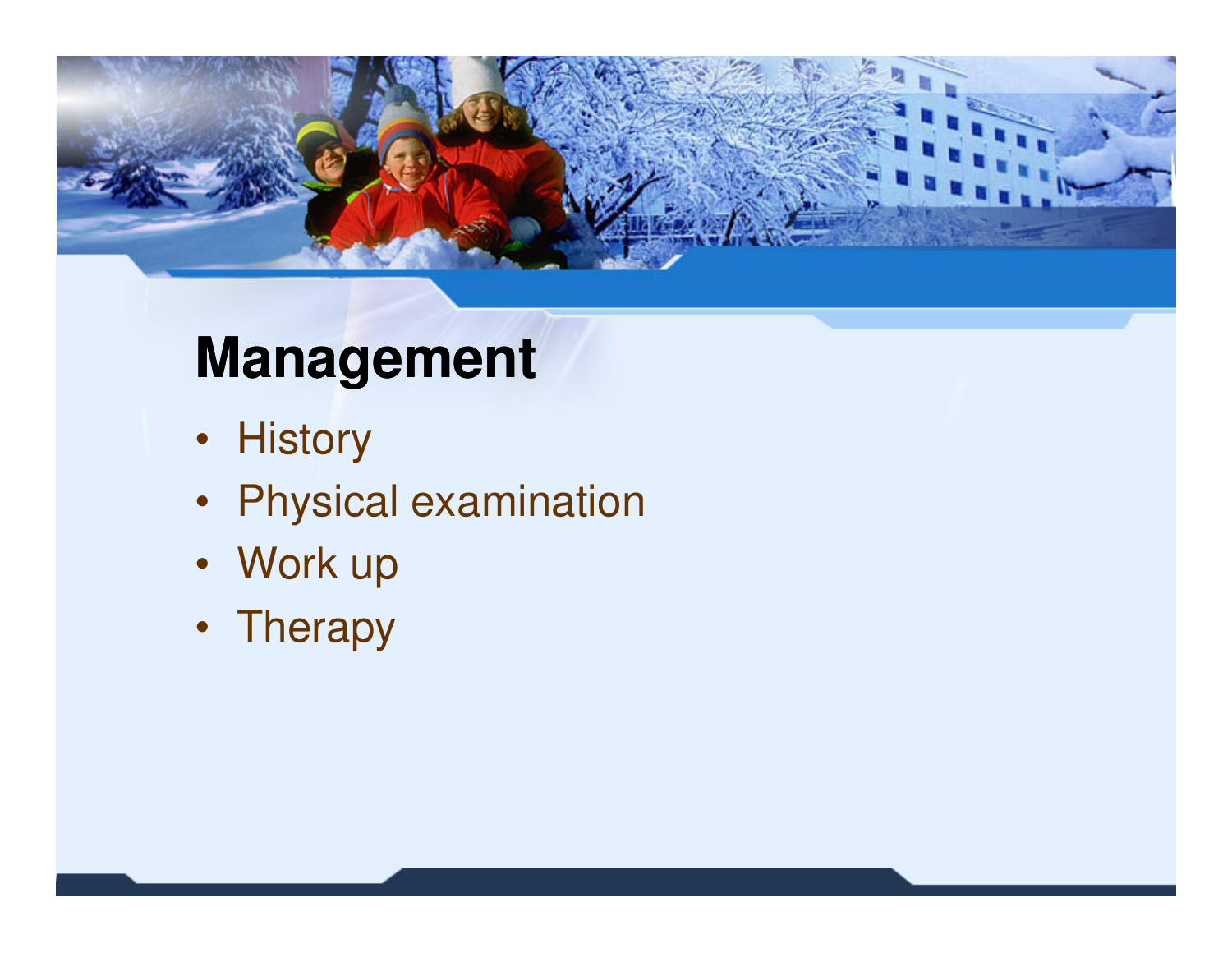

### **Management**

- History
- Physical examination
- Work up
- Therapy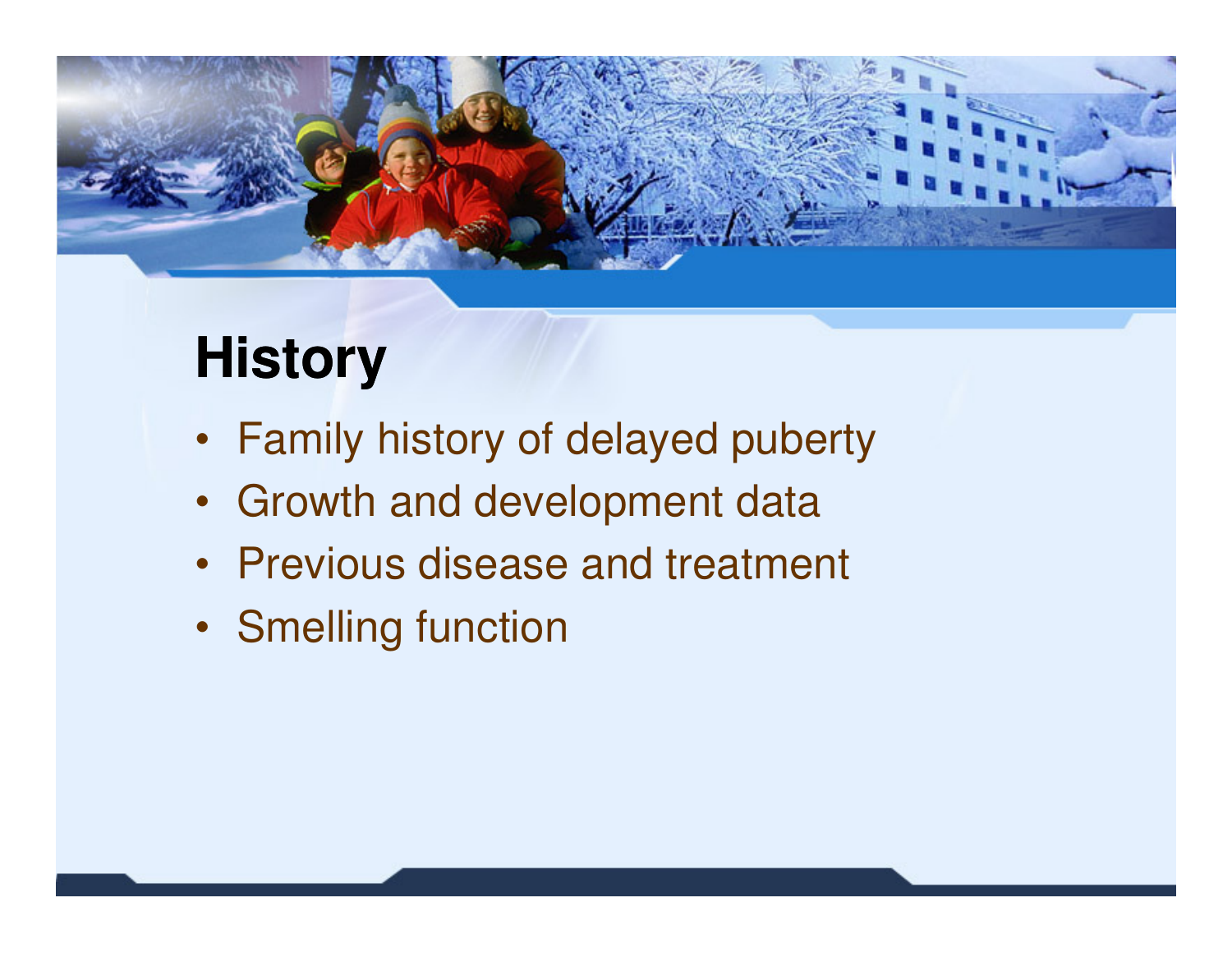

# **History**

- Family history of delayed puberty
- Growth and development data
- Previous disease and treatment
- Smelling function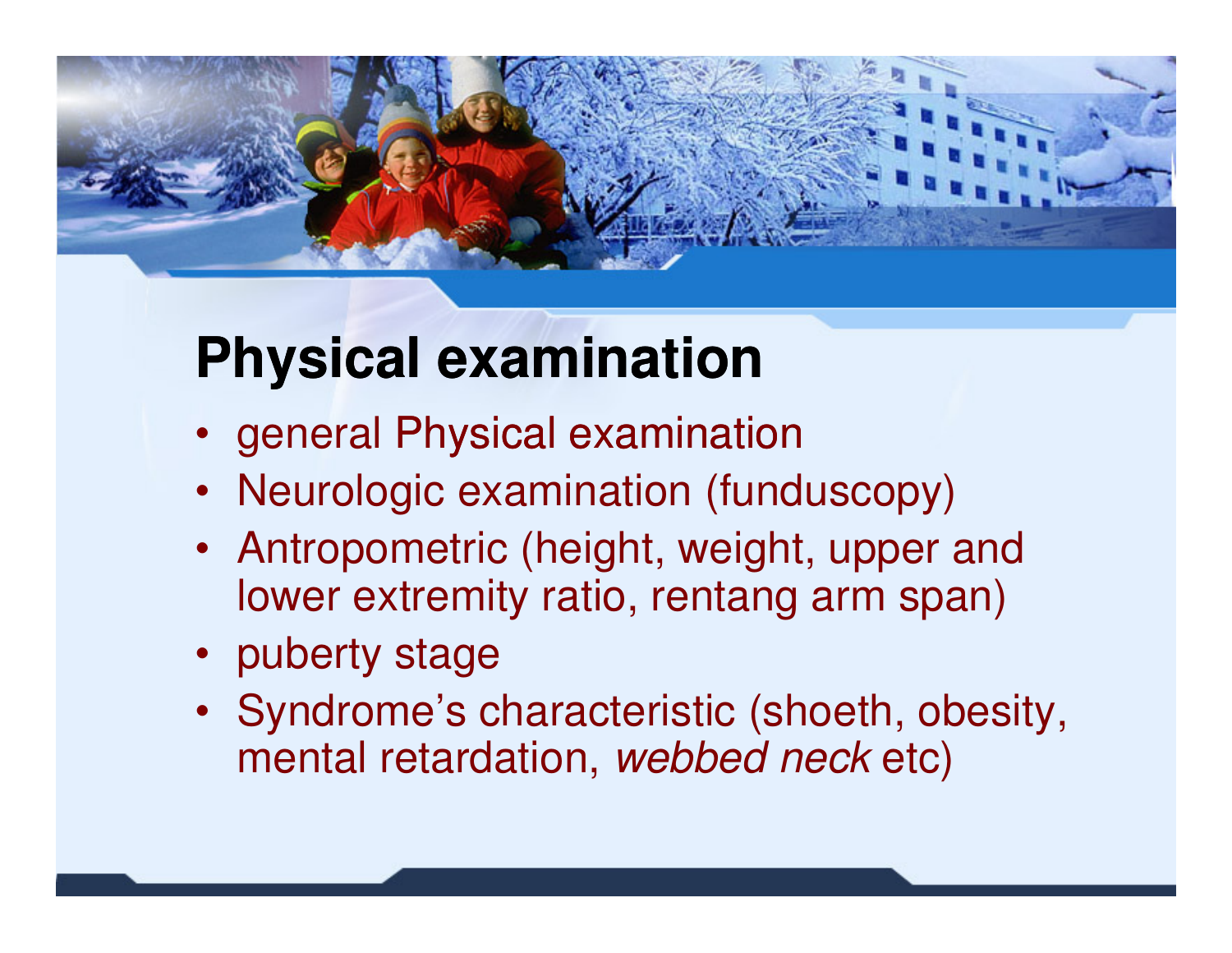

# **Physical examination**

- general Physical examination
- Neurologic examination (funduscopy)
- Antropometric (height, weight, upper and lower extremity ratio, rentang arm span)
- puberty stage
- Syndrome's characteristic (shoeth, obesity, mental retardation, *webbed neck* etc)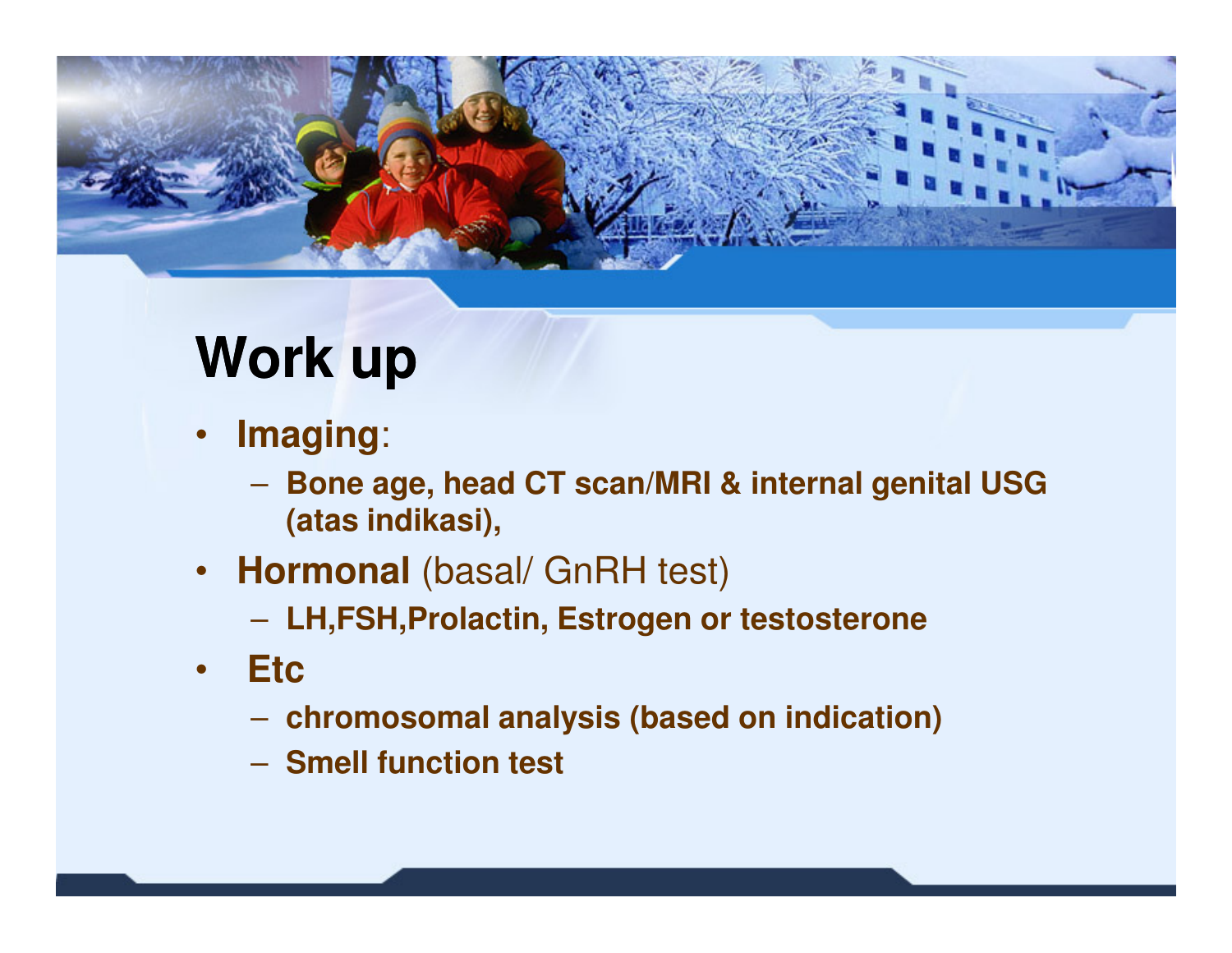

### **Work up**

- • **Imaging**:
	- **Bone age, head CT scan/MRI & internal genital USG (atas indikasi),**
- • **Hormonal** (basal/ GnRH test)
	- **LH,FSH,Prolactin, Estrogen or testosterone**
- $\bullet$  **Etc**
	- **chromosomal analysis (based on indication)**
	- **Smell function test**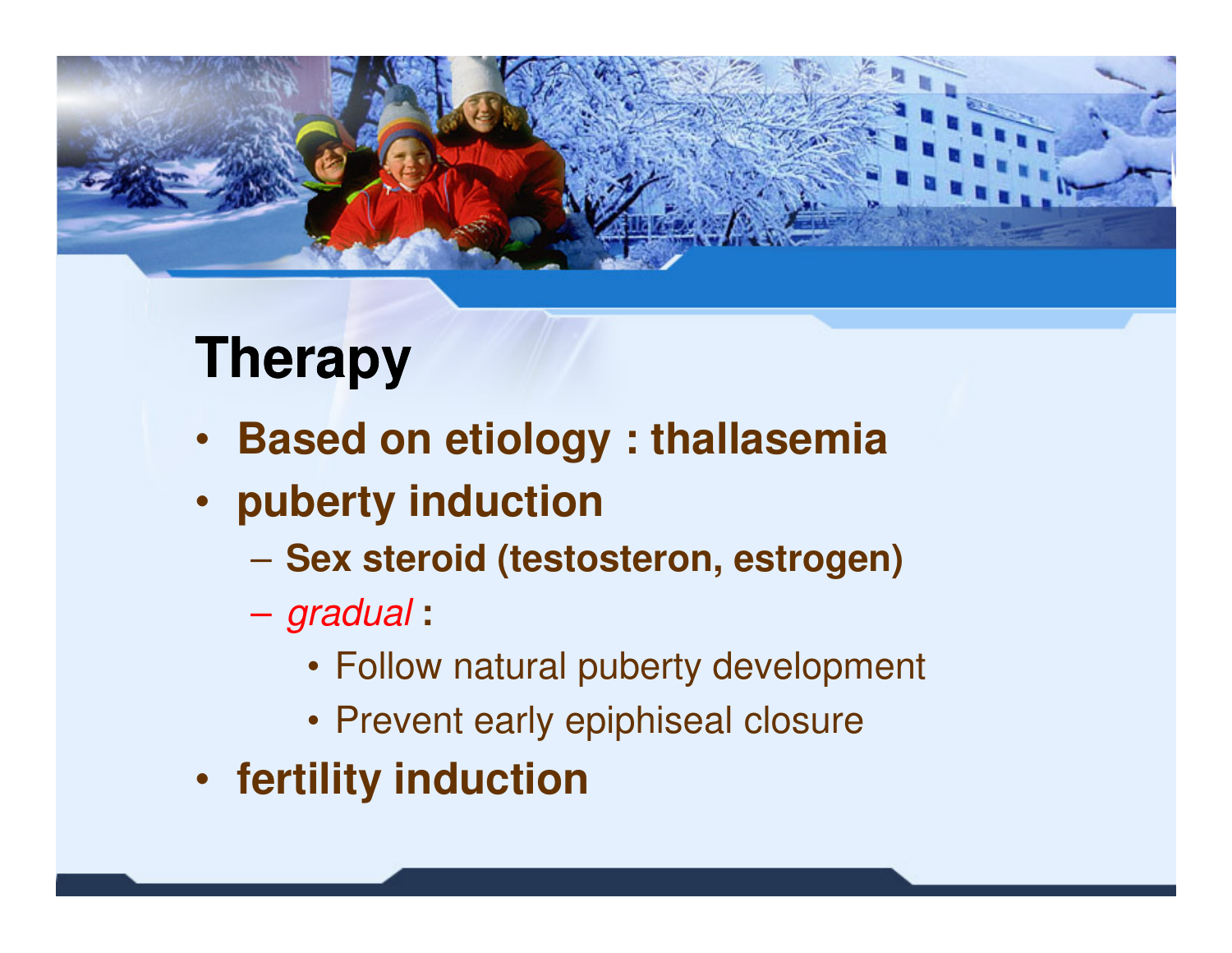

# **Therapy**

- **Based on etiology : thallasemia**
- **puberty induction**
	- **Sex steroid (testosteron, estrogen)**
	- gradual **:** 
		- Follow natural puberty development
		- Prevent early epiphiseal closure
- **fertility induction**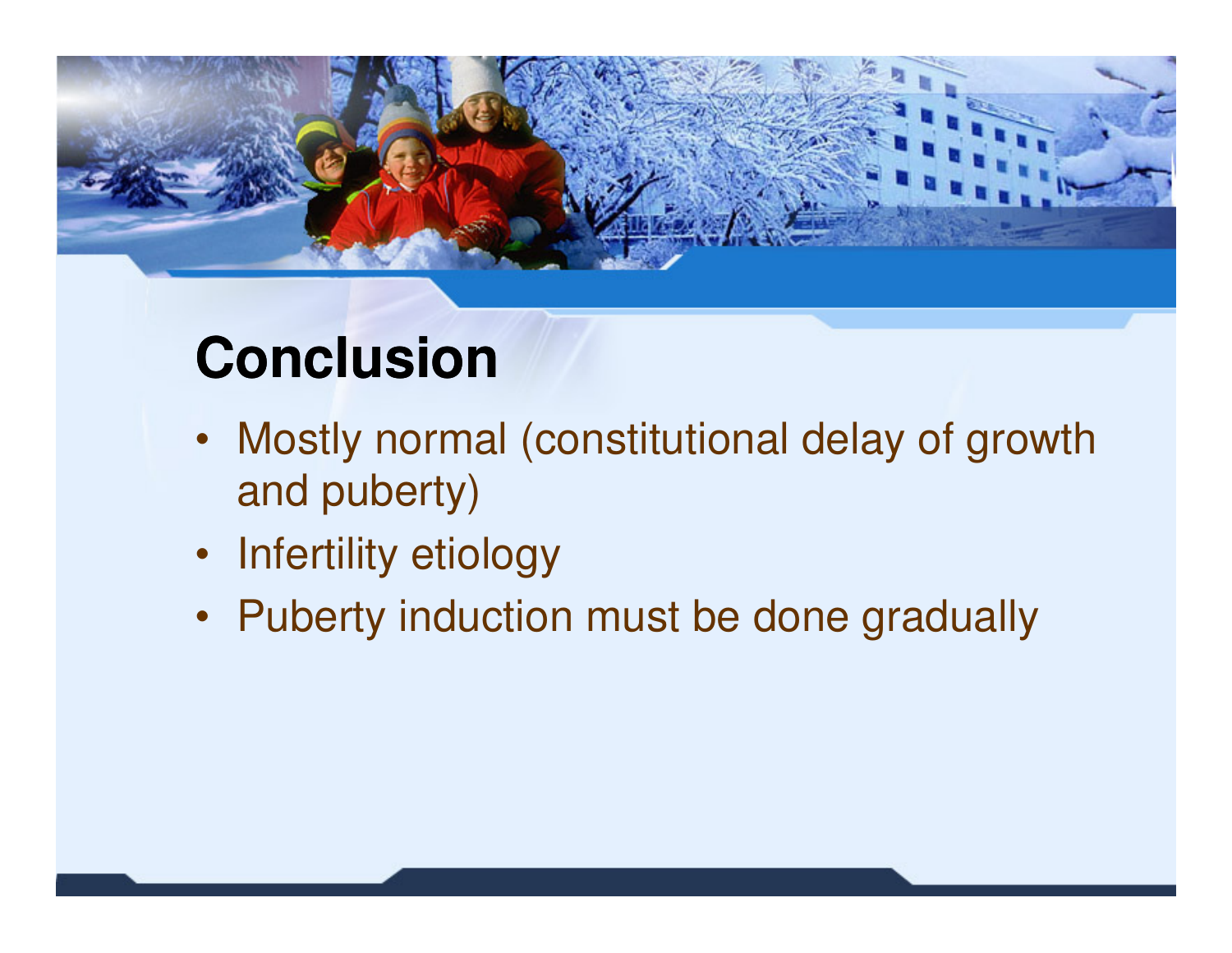

# **Conclusion**

- Mostly normal (constitutional delay of growth and puberty)
- Infertility etiology
- Puberty induction must be done gradually